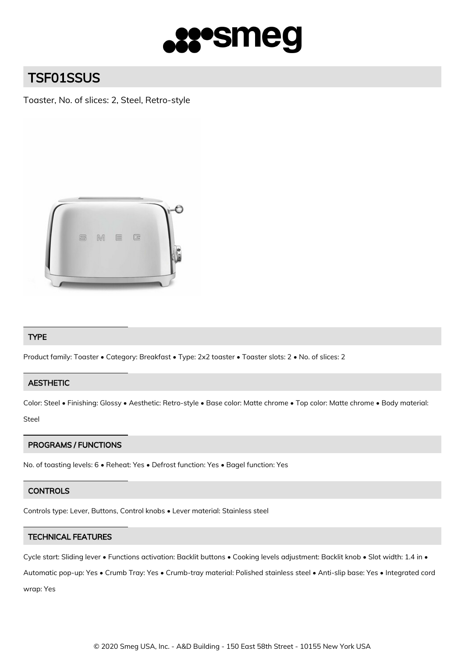

# TSF01SSUS

Toaster, No. of slices: 2, Steel, Retro-style



## TYPE

Product family: Toaster • Category: Breakfast • Type: 2x2 toaster • Toaster slots: 2 • No. of slices: 2

## **AESTHETIC**

Color: Steel • Finishing: Glossy • Aesthetic: Retro-style • Base color: Matte chrome • Top color: Matte chrome • Body material: Steel

## PROGRAMS / FUNCTIONS

No. of toasting levels: 6 • Reheat: Yes • Defrost function: Yes • Bagel function: Yes

#### **CONTROLS**

Controls type: Lever, Buttons, Control knobs • Lever material: Stainless steel

## TECHNICAL FEATURES

Cycle start: Sliding lever • Functions activation: Backlit buttons • Cooking levels adjustment: Backlit knob • Slot width: 1.4 in •

Automatic pop-up: Yes • Crumb Tray: Yes • Crumb-tray material: Polished stainless steel • Anti-slip base: Yes • Integrated cord wrap: Yes